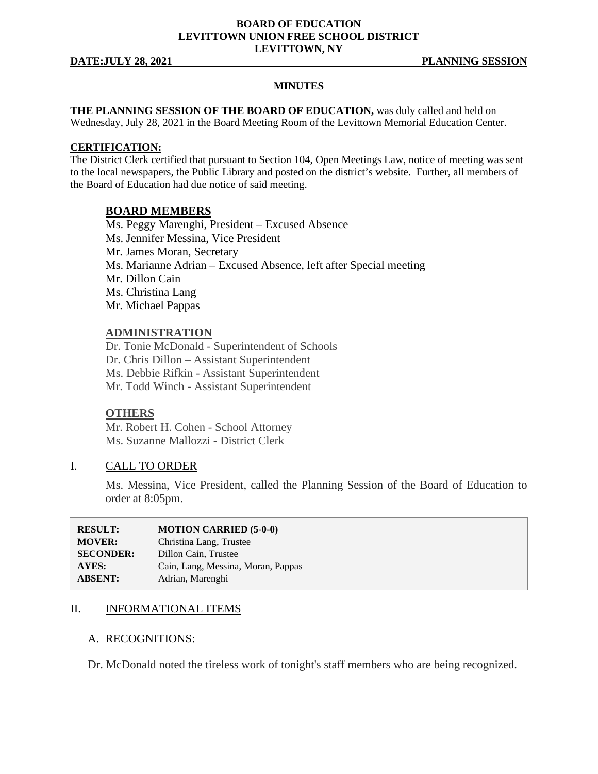#### **BOARD OF EDUCATION LEVITTOWN UNION FREE SCHOOL DISTRICT LEVITTOWN, NY**

**DATE:JULY 28, 2021 PLANNING SESSION**

#### **MINUTES**

**THE PLANNING SESSION OF THE BOARD OF EDUCATION, was duly called and held on** Wednesday, July 28, 2021 in the Board Meeting Room of the Levittown Memorial Education Center.

#### **CERTIFICATION:**

The District Clerk certified that pursuant to Section 104, Open Meetings Law, notice of meeting was sent to the local newspapers, the Public Library and posted on the district's website. Further, all members of the Board of Education had due notice of said meeting.

#### **BOARD MEMBERS**

Ms. Peggy Marenghi, President – Excused Absence Ms. Jennifer Messina, Vice President Mr. James Moran, Secretary Ms. Marianne Adrian – Excused Absence, left after Special meeting Mr. Dillon Cain Ms. Christina Lang Mr. Michael Pappas

#### **ADMINISTRATION**

Dr. Tonie McDonald - Superintendent of Schools Dr. Chris Dillon – Assistant Superintendent Ms. Debbie Rifkin - Assistant Superintendent Mr. Todd Winch - Assistant Superintendent

#### **OTHERS**

Mr. Robert H. Cohen - School Attorney Ms. Suzanne Mallozzi - District Clerk

#### I. CALL TO ORDER

Ms. Messina, Vice President, called the Planning Session of the Board of Education to order at 8:05pm.

| <b>RESULT:</b>   | <b>MOTION CARRIED (5-0-0)</b>      |
|------------------|------------------------------------|
| <b>MOVER:</b>    | Christina Lang, Trustee            |
| <b>SECONDER:</b> | Dillon Cain, Trustee               |
| <b>AYES:</b>     | Cain, Lang, Messina, Moran, Pappas |
| <b>ABSENT:</b>   | Adrian, Marenghi                   |

## II. **INFORMATIONAL ITEMS**

#### A. RECOGNITIONS:

Dr. McDonald noted the tireless work of tonight's staff members who are being recognized.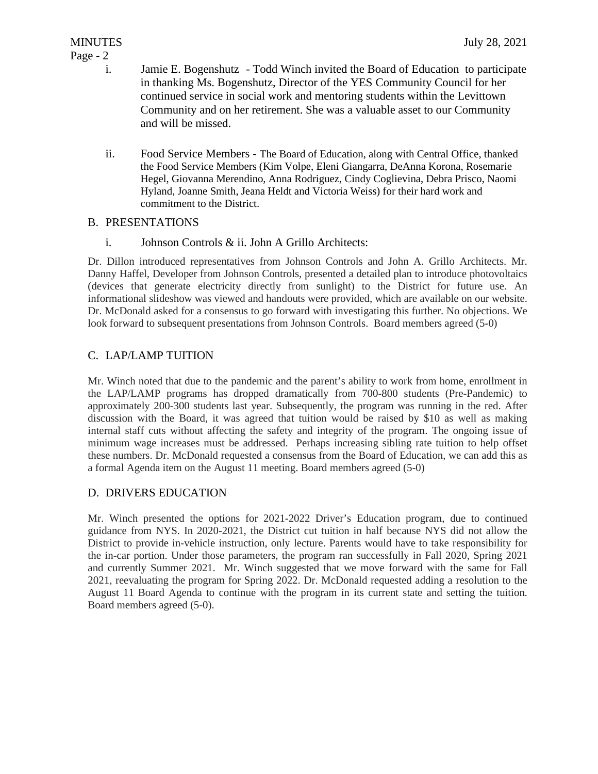### Page - 2

- i. Jamie E. Bogenshutz Todd Winch invited the Board of Education to participate in thanking Ms. Bogenshutz, Director of the YES Community Council for her continued service in social work and mentoring students within the Levittown Community and on her retirement. She was a valuable asset to our Community and will be missed.
- ii. Food Service Members The Board of Education, along with Central Office, thanked the Food Service Members (Kim Volpe, Eleni Giangarra, DeAnna Korona, Rosemarie Hegel, Giovanna Merendino, Anna Rodriguez, Cindy Coglievina, Debra Prisco, Naomi Hyland, Joanne Smith, Jeana Heldt and Victoria Weiss) for their hard work and commitment to the District.

## B. PRESENTATIONS

i. Johnson Controls & ii. John A Grillo Architects:

Dr. Dillon introduced representatives from Johnson Controls and John A. Grillo Architects. Mr. Danny Haffel, Developer from Johnson Controls, presented a detailed plan to introduce photovoltaics (devices that generate electricity directly from sunlight) to the District for future use. An informational slideshow was viewed and handouts were provided, which are available on our website. Dr. McDonald asked for a consensus to go forward with investigating this further. No objections. We look forward to subsequent presentations from Johnson Controls. Board members agreed (5-0)

## C. LAP/LAMP TUITION

Mr. Winch noted that due to the pandemic and the parent's ability to work from home, enrollment in the LAP/LAMP programs has dropped dramatically from 700-800 students (Pre-Pandemic) to approximately 200-300 students last year. Subsequently, the program was running in the red. After discussion with the Board, it was agreed that tuition would be raised by \$10 as well as making internal staff cuts without affecting the safety and integrity of the program. The ongoing issue of minimum wage increases must be addressed. Perhaps increasing sibling rate tuition to help offset these numbers. Dr. McDonald requested a consensus from the Board of Education, we can add this as a formal Agenda item on the August 11 meeting. Board members agreed (5-0)

## D. DRIVERS EDUCATION

Mr. Winch presented the options for 2021-2022 Driver's Education program, due to continued guidance from NYS. In 2020-2021, the District cut tuition in half because NYS did not allow the District to provide in-vehicle instruction, only lecture. Parents would have to take responsibility for the in-car portion. Under those parameters, the program ran successfully in Fall 2020, Spring 2021 and currently Summer 2021. Mr. Winch suggested that we move forward with the same for Fall 2021, reevaluating the program for Spring 2022. Dr. McDonald requested adding a resolution to the August 11 Board Agenda to continue with the program in its current state and setting the tuition. Board members agreed (5-0).